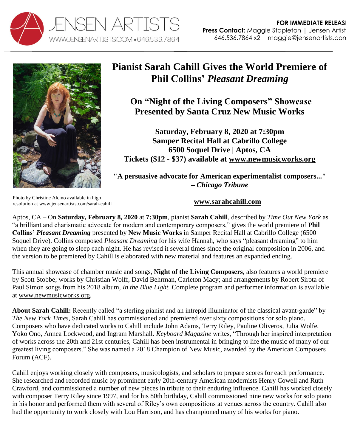



## **Pianist Sarah Cahill Gives the World Premiere of Phil Collins'** *Pleasant Dreaming*

**On "Night of the Living Composers" Showcase Presented by Santa Cruz New Music Works**

**Saturday, February 8, 2020 at 7:30pm Samper Recital Hall at Cabrillo College 6500 Soquel Drive | Aptos, CA Tickets (\$12 - \$37) available at [www.newmusicworks.org](http://www.newmusicworks.org/concert-ii-night-of-the-living-composers/)**

**"A persuasive advocate for American experimentalist composers..." –** *Chicago Tribune*

Photo by Christine Alcino available in high resolution a[t www.jensenartists.com/sarah-cahill](http://www.jensenartists.com/sarah-cahill)

**[www.sarahcahill.com](http://www.sarahcahill.com/)**

Aptos, CA – On **Saturday, February 8, 2020** at **7:30pm**, pianist **Sarah Cahill**, described by *Time Out New York* as "a brilliant and charismatic advocate for modern and contemporary composers," gives the world premiere of **Phil Collins'** *Pleasant Dreaming* presented by **New Music Works** in Samper Recital Hall at Cabrillo College (6500 Soquel Drive). Collins composed *Pleasant Dreaming* for his wife Hannah, who says "pleasant dreaming" to him when they are going to sleep each night. He has revised it several times since the original composition in 2006, and the version to be premiered by Cahill is elaborated with new material and features an expanded ending.

This annual showcase of chamber music and songs, **Night of the Living Composers**, also features a world premiere by Scott Stobbe; works by Christian Wolff, David Behrman, Carleton Macy; and arrangements by Robert Sirota of Paul Simon songs from his 2018 album, *In the Blue Light.* Complete program and performer information is available at [www.newmusicworks.org.](http://www.newmusicworks.org/concert-ii-night-of-the-living-composers/)

**About Sarah Cahill:** Recently called "a sterling pianist and an intrepid illuminator of the classical avant-garde" by *The New York Times*, Sarah Cahill has commissioned and premiered over sixty compositions for solo piano. Composers who have dedicated works to Cahill include John Adams, Terry Riley, Pauline Oliveros, Julia Wolfe, Yoko Ono, Annea Lockwood, and Ingram Marshall. *Keyboard Magazine* writes, "Through her inspired interpretation of works across the 20th and 21st centuries, Cahill has been instrumental in bringing to life the music of many of our greatest living composers." She was named a 2018 Champion of New Music, awarded by the American Composers Forum (ACF).

Cahill enjoys working closely with composers, musicologists, and scholars to prepare scores for each performance. She researched and recorded music by prominent early 20th-century American modernists Henry Cowell and Ruth Crawford, and commissioned a number of new pieces in tribute to their enduring influence. Cahill has worked closely with composer Terry Riley since 1997, and for his 80th birthday, Cahill commissioned nine new works for solo piano in his honor and performed them with several of Riley's own compositions at venues across the country. Cahill also had the opportunity to work closely with Lou Harrison, and has championed many of his works for piano.